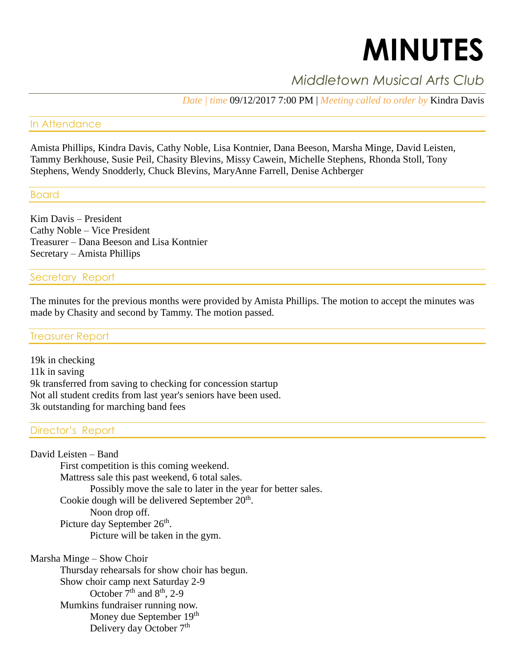# **MINUTES**

# *Middletown Musical Arts Club*

*Date | time* 09/12/2017 7:00 PM | *Meeting called to order by* Kindra Davis

### In Attendance

Amista Phillips, Kindra Davis, Cathy Noble, Lisa Kontnier, Dana Beeson, Marsha Minge, David Leisten, Tammy Berkhouse, Susie Peil, Chasity Blevins, Missy Cawein, Michelle Stephens, Rhonda Stoll, Tony Stephens, Wendy Snodderly, Chuck Blevins, MaryAnne Farrell, Denise Achberger

# Board

Kim Davis – President Cathy Noble – Vice President Treasurer – Dana Beeson and Lisa Kontnier Secretary – Amista Phillips

# Secretary Report

The minutes for the previous months were provided by Amista Phillips. The motion to accept the minutes was made by Chasity and second by Tammy. The motion passed.

#### Treasurer Report

19k in checking 11k in saving 9k transferred from saving to checking for concession startup Not all student credits from last year's seniors have been used. 3k outstanding for marching band fees

# Director's Report

David Leisten – Band First competition is this coming weekend. Mattress sale this past weekend, 6 total sales. Possibly move the sale to later in the year for better sales. Cookie dough will be delivered September 20<sup>th</sup>. Noon drop off. Picture day September  $26<sup>th</sup>$ . Picture will be taken in the gym.

Marsha Minge – Show Choir Thursday rehearsals for show choir has begun. Show choir camp next Saturday 2-9 October  $7<sup>th</sup>$  and  $8<sup>th</sup>$ , 2-9 Mumkins fundraiser running now. Money due September 19<sup>th</sup> Delivery day October 7<sup>th</sup>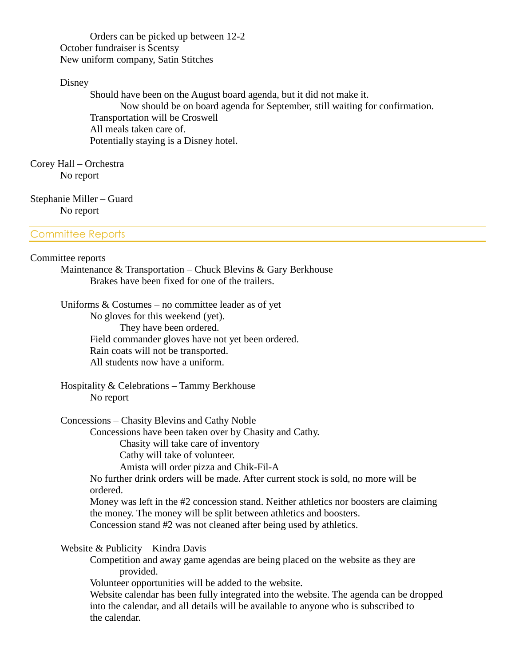Orders can be picked up between 12-2 October fundraiser is Scentsy New uniform company, Satin Stitches

#### Disney

Should have been on the August board agenda, but it did not make it. Now should be on board agenda for September, still waiting for confirmation. Transportation will be Croswell All meals taken care of. Potentially staying is a Disney hotel.

Corey Hall – Orchestra No report

Stephanie Miller – Guard No report

#### Committee Reports

# Committee reports

Maintenance & Transportation – Chuck Blevins & Gary Berkhouse Brakes have been fixed for one of the trailers.

Uniforms & Costumes – no committee leader as of yet No gloves for this weekend (yet). They have been ordered. Field commander gloves have not yet been ordered. Rain coats will not be transported. All students now have a uniform.

Hospitality & Celebrations – Tammy Berkhouse No report

Concessions – Chasity Blevins and Cathy Noble

Concessions have been taken over by Chasity and Cathy.

Chasity will take care of inventory

Cathy will take of volunteer.

Amista will order pizza and Chik-Fil-A

No further drink orders will be made. After current stock is sold, no more will be ordered.

Money was left in the #2 concession stand. Neither athletics nor boosters are claiming the money. The money will be split between athletics and boosters. Concession stand #2 was not cleaned after being used by athletics.

Website & Publicity – Kindra Davis

Competition and away game agendas are being placed on the website as they are provided.

Volunteer opportunities will be added to the website.

Website calendar has been fully integrated into the website. The agenda can be dropped into the calendar, and all details will be available to anyone who is subscribed to the calendar.